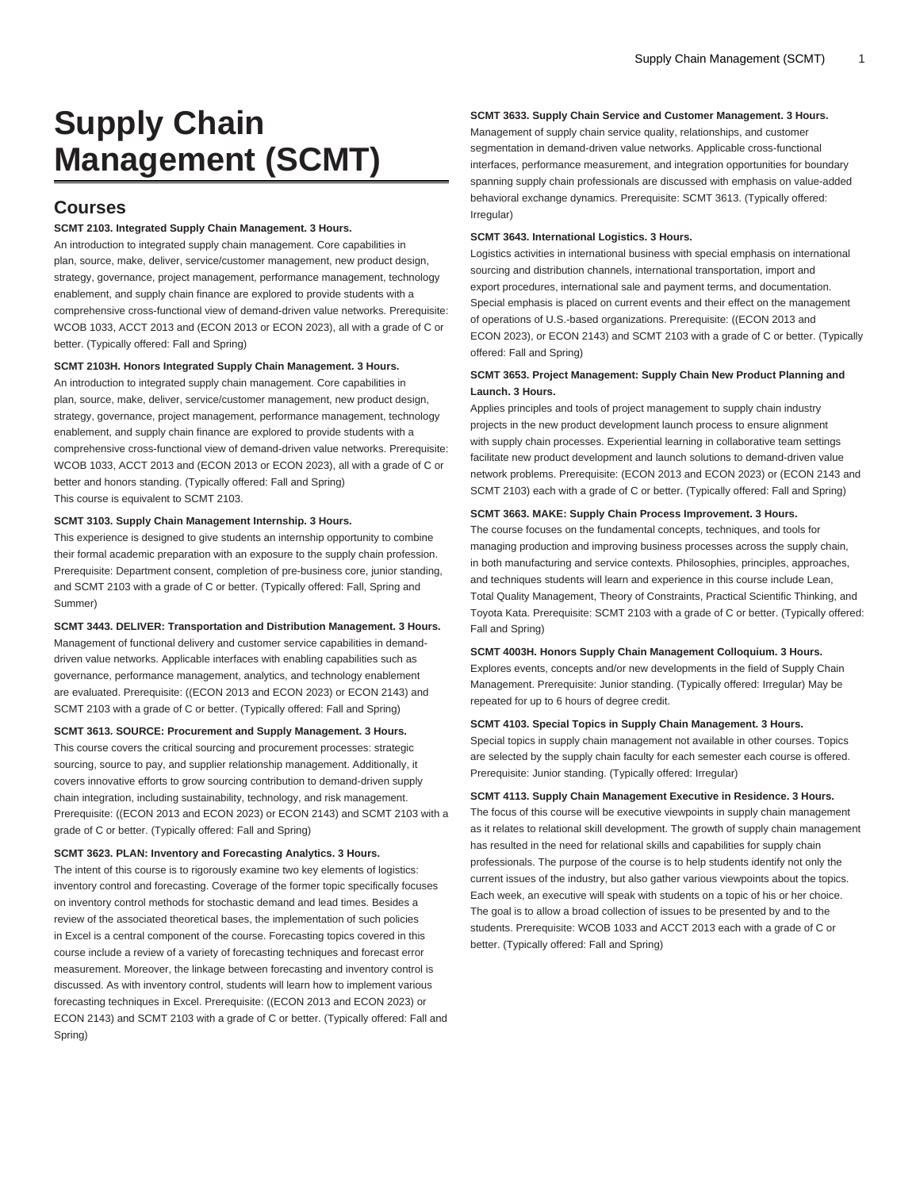# **Supply Chain Management (SCMT)**

## **Courses**

#### **SCMT 2103. Integrated Supply Chain Management. 3 Hours.**

An introduction to integrated supply chain management. Core capabilities in plan, source, make, deliver, service/customer management, new product design, strategy, governance, project management, performance management, technology enablement, and supply chain finance are explored to provide students with a comprehensive cross-functional view of demand-driven value networks. Prerequisite: [WCOB 1033](/search/?P=WCOB%201033), [ACCT 2013](/search/?P=ACCT%202013) and ([ECON 2013](/search/?P=ECON%202013) or [ECON 2023](/search/?P=ECON%202023)), all with a grade of C or better. (Typically offered: Fall and Spring)

## **SCMT 2103H. Honors Integrated Supply Chain Management. 3 Hours.**

An introduction to integrated supply chain management. Core capabilities in plan, source, make, deliver, service/customer management, new product design, strategy, governance, project management, performance management, technology enablement, and supply chain finance are explored to provide students with a comprehensive cross-functional view of demand-driven value networks. Prerequisite: [WCOB 1033](/search/?P=WCOB%201033), [ACCT 2013](/search/?P=ACCT%202013) and ([ECON 2013](/search/?P=ECON%202013) or [ECON 2023](/search/?P=ECON%202023)), all with a grade of C or better and honors standing. (Typically offered: Fall and Spring) This course is equivalent to [SCMT 2103](/search/?P=SCMT%202103).

#### **SCMT 3103. Supply Chain Management Internship. 3 Hours.**

This experience is designed to give students an internship opportunity to combine their formal academic preparation with an exposure to the supply chain profession. Prerequisite: Department consent, completion of pre-business core, junior standing, and [SCMT 2103](/search/?P=SCMT%202103) with a grade of C or better. (Typically offered: Fall, Spring and Summer)

**SCMT 3443. DELIVER: Transportation and Distribution Management. 3 Hours.** Management of functional delivery and customer service capabilities in demanddriven value networks. Applicable interfaces with enabling capabilities such as governance, performance management, analytics, and technology enablement are evaluated. Prerequisite: ([\(ECON 2013](/search/?P=ECON%202013) and [ECON 2023](/search/?P=ECON%202023)) or [ECON 2143](/search/?P=ECON%202143)) and [SCMT 2103](/search/?P=SCMT%202103) with a grade of C or better. (Typically offered: Fall and Spring)

## **SCMT 3613. SOURCE: Procurement and Supply Management. 3 Hours.**

This course covers the critical sourcing and procurement processes: strategic sourcing, source to pay, and supplier relationship management. Additionally, it covers innovative efforts to grow sourcing contribution to demand-driven supply chain integration, including sustainability, technology, and risk management. Prerequisite: (([ECON 2013](/search/?P=ECON%202013) and [ECON 2023\)](/search/?P=ECON%202023) or [ECON 2143](/search/?P=ECON%202143)) and [SCMT 2103](/search/?P=SCMT%202103) with a grade of C or better. (Typically offered: Fall and Spring)

## **SCMT 3623. PLAN: Inventory and Forecasting Analytics. 3 Hours.**

The intent of this course is to rigorously examine two key elements of logistics: inventory control and forecasting. Coverage of the former topic specifically focuses on inventory control methods for stochastic demand and lead times. Besides a review of the associated theoretical bases, the implementation of such policies in Excel is a central component of the course. Forecasting topics covered in this course include a review of a variety of forecasting techniques and forecast error measurement. Moreover, the linkage between forecasting and inventory control is discussed. As with inventory control, students will learn how to implement various forecasting techniques in Excel. Prerequisite: ([\(ECON 2013](/search/?P=ECON%202013) and [ECON 2023](/search/?P=ECON%202023)) or [ECON 2143\)](/search/?P=ECON%202143) and [SCMT 2103](/search/?P=SCMT%202103) with a grade of C or better. (Typically offered: Fall and Spring)

## **SCMT 3633. Supply Chain Service and Customer Management. 3 Hours.**

Management of supply chain service quality, relationships, and customer segmentation in demand-driven value networks. Applicable cross-functional interfaces, performance measurement, and integration opportunities for boundary spanning supply chain professionals are discussed with emphasis on value-added behavioral exchange dynamics. Prerequisite: [SCMT 3613.](/search/?P=SCMT%203613) (Typically offered: Irregular)

#### **SCMT 3643. International Logistics. 3 Hours.**

Logistics activities in international business with special emphasis on international sourcing and distribution channels, international transportation, import and export procedures, international sale and payment terms, and documentation. Special emphasis is placed on current events and their effect on the management of operations of U.S.-based organizations. Prerequisite: (([ECON 2013](/search/?P=ECON%202013) and [ECON 2023\)](/search/?P=ECON%202023), or [ECON 2143](/search/?P=ECON%202143)) and [SCMT 2103](/search/?P=SCMT%202103) with a grade of C or better. (Typically offered: Fall and Spring)

## **SCMT 3653. Project Management: Supply Chain New Product Planning and Launch. 3 Hours.**

Applies principles and tools of project management to supply chain industry projects in the new product development launch process to ensure alignment with supply chain processes. Experiential learning in collaborative team settings facilitate new product development and launch solutions to demand-driven value network problems. Prerequisite: ([ECON 2013](/search/?P=ECON%202013) and [ECON 2023\)](/search/?P=ECON%202023) or ([ECON 2143](/search/?P=ECON%202143) and [SCMT 2103\)](/search/?P=SCMT%202103) each with a grade of C or better. (Typically offered: Fall and Spring)

#### **SCMT 3663. MAKE: Supply Chain Process Improvement. 3 Hours.**

The course focuses on the fundamental concepts, techniques, and tools for managing production and improving business processes across the supply chain, in both manufacturing and service contexts. Philosophies, principles, approaches, and techniques students will learn and experience in this course include Lean, Total Quality Management, Theory of Constraints, Practical Scientific Thinking, and Toyota Kata. Prerequisite: [SCMT 2103](/search/?P=SCMT%202103) with a grade of C or better. (Typically offered: Fall and Spring)

**SCMT 4003H. Honors Supply Chain Management Colloquium. 3 Hours.** Explores events, concepts and/or new developments in the field of Supply Chain Management. Prerequisite: Junior standing. (Typically offered: Irregular) May be repeated for up to 6 hours of degree credit.

## **SCMT 4103. Special Topics in Supply Chain Management. 3 Hours.**

Special topics in supply chain management not available in other courses. Topics are selected by the supply chain faculty for each semester each course is offered. Prerequisite: Junior standing. (Typically offered: Irregular)

**SCMT 4113. Supply Chain Management Executive in Residence. 3 Hours.** The focus of this course will be executive viewpoints in supply chain management as it relates to relational skill development. The growth of supply chain management

has resulted in the need for relational skills and capabilities for supply chain professionals. The purpose of the course is to help students identify not only the current issues of the industry, but also gather various viewpoints about the topics. Each week, an executive will speak with students on a topic of his or her choice. The goal is to allow a broad collection of issues to be presented by and to the students. Prerequisite: [WCOB 1033](/search/?P=WCOB%201033) and [ACCT 2013](/search/?P=ACCT%202013) each with a grade of C or better. (Typically offered: Fall and Spring)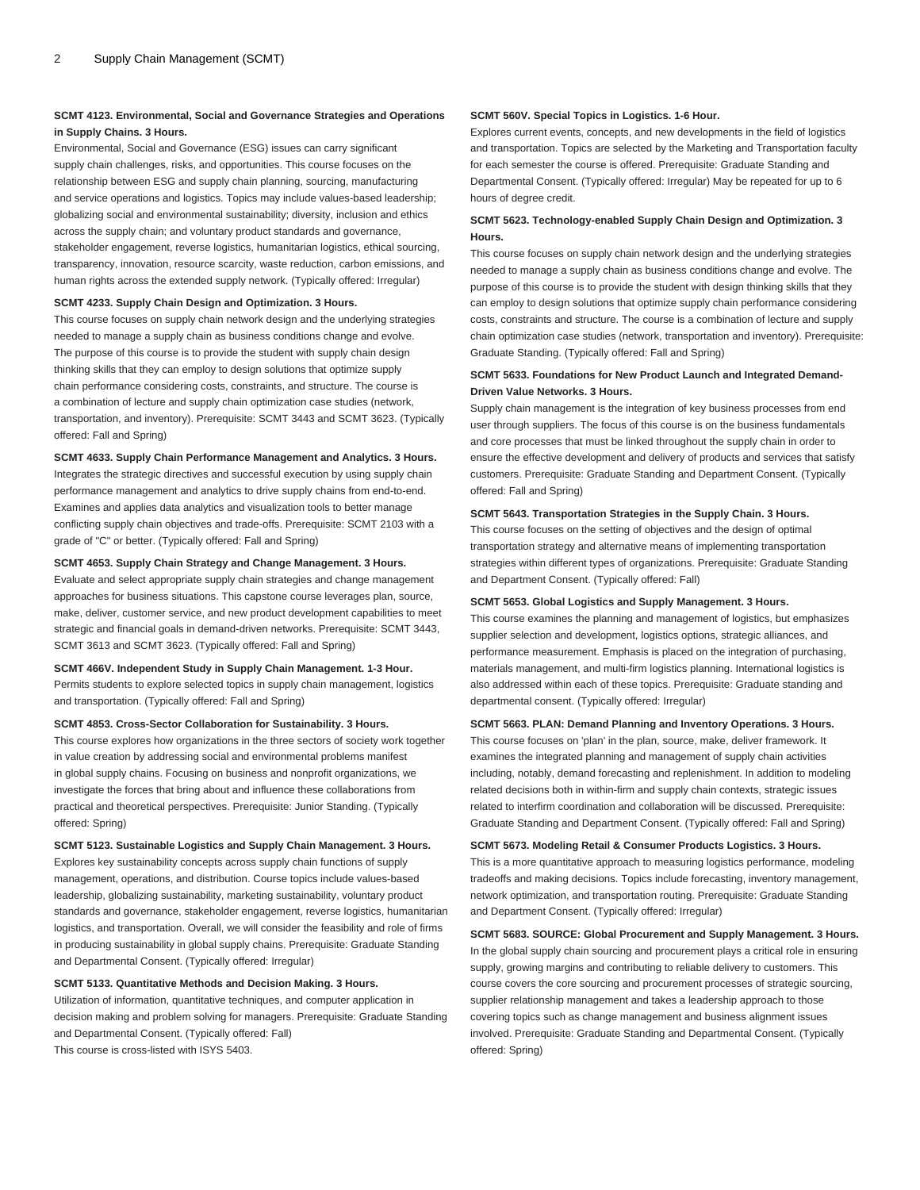## **SCMT 4123. Environmental, Social and Governance Strategies and Operations in Supply Chains. 3 Hours.**

Environmental, Social and Governance (ESG) issues can carry significant supply chain challenges, risks, and opportunities. This course focuses on the relationship between ESG and supply chain planning, sourcing, manufacturing and service operations and logistics. Topics may include values-based leadership; globalizing social and environmental sustainability; diversity, inclusion and ethics across the supply chain; and voluntary product standards and governance, stakeholder engagement, reverse logistics, humanitarian logistics, ethical sourcing, transparency, innovation, resource scarcity, waste reduction, carbon emissions, and human rights across the extended supply network. (Typically offered: Irregular)

#### **SCMT 4233. Supply Chain Design and Optimization. 3 Hours.**

This course focuses on supply chain network design and the underlying strategies needed to manage a supply chain as business conditions change and evolve. The purpose of this course is to provide the student with supply chain design thinking skills that they can employ to design solutions that optimize supply chain performance considering costs, constraints, and structure. The course is a combination of lecture and supply chain optimization case studies (network, transportation, and inventory). Prerequisite: [SCMT 3443](/search/?P=SCMT%203443) and [SCMT 3623](/search/?P=SCMT%203623). (Typically offered: Fall and Spring)

#### **SCMT 4633. Supply Chain Performance Management and Analytics. 3 Hours.**

Integrates the strategic directives and successful execution by using supply chain performance management and analytics to drive supply chains from end-to-end. Examines and applies data analytics and visualization tools to better manage conflicting supply chain objectives and trade-offs. Prerequisite: [SCMT 2103](/search/?P=SCMT%202103) with a grade of "C" or better. (Typically offered: Fall and Spring)

## **SCMT 4653. Supply Chain Strategy and Change Management. 3 Hours.**

Evaluate and select appropriate supply chain strategies and change management approaches for business situations. This capstone course leverages plan, source, make, deliver, customer service, and new product development capabilities to meet strategic and financial goals in demand-driven networks. Prerequisite: [SCMT 3443,](/search/?P=SCMT%203443) [SCMT 3613](/search/?P=SCMT%203613) and [SCMT 3623](/search/?P=SCMT%203623). (Typically offered: Fall and Spring)

## **SCMT 466V. Independent Study in Supply Chain Management. 1-3 Hour.**

Permits students to explore selected topics in supply chain management, logistics and transportation. (Typically offered: Fall and Spring)

#### **SCMT 4853. Cross-Sector Collaboration for Sustainability. 3 Hours.**

This course explores how organizations in the three sectors of society work together in value creation by addressing social and environmental problems manifest in global supply chains. Focusing on business and nonprofit organizations, we investigate the forces that bring about and influence these collaborations from practical and theoretical perspectives. Prerequisite: Junior Standing. (Typically offered: Spring)

## **SCMT 5123. Sustainable Logistics and Supply Chain Management. 3 Hours.**

Explores key sustainability concepts across supply chain functions of supply management, operations, and distribution. Course topics include values-based leadership, globalizing sustainability, marketing sustainability, voluntary product standards and governance, stakeholder engagement, reverse logistics, humanitarian logistics, and transportation. Overall, we will consider the feasibility and role of firms in producing sustainability in global supply chains. Prerequisite: Graduate Standing and Departmental Consent. (Typically offered: Irregular)

## **SCMT 5133. Quantitative Methods and Decision Making. 3 Hours.**

Utilization of information, quantitative techniques, and computer application in decision making and problem solving for managers. Prerequisite: Graduate Standing and Departmental Consent. (Typically offered: Fall) This course is cross-listed with [ISYS 5403](/search/?P=ISYS%205403).

#### **SCMT 560V. Special Topics in Logistics. 1-6 Hour.**

Explores current events, concepts, and new developments in the field of logistics and transportation. Topics are selected by the Marketing and Transportation faculty for each semester the course is offered. Prerequisite: Graduate Standing and Departmental Consent. (Typically offered: Irregular) May be repeated for up to 6 hours of degree credit.

## **SCMT 5623. Technology-enabled Supply Chain Design and Optimization. 3 Hours.**

This course focuses on supply chain network design and the underlying strategies needed to manage a supply chain as business conditions change and evolve. The purpose of this course is to provide the student with design thinking skills that they can employ to design solutions that optimize supply chain performance considering costs, constraints and structure. The course is a combination of lecture and supply chain optimization case studies (network, transportation and inventory). Prerequisite: Graduate Standing. (Typically offered: Fall and Spring)

## **SCMT 5633. Foundations for New Product Launch and Integrated Demand-Driven Value Networks. 3 Hours.**

Supply chain management is the integration of key business processes from end user through suppliers. The focus of this course is on the business fundamentals and core processes that must be linked throughout the supply chain in order to ensure the effective development and delivery of products and services that satisfy customers. Prerequisite: Graduate Standing and Department Consent. (Typically offered: Fall and Spring)

#### **SCMT 5643. Transportation Strategies in the Supply Chain. 3 Hours.**

This course focuses on the setting of objectives and the design of optimal transportation strategy and alternative means of implementing transportation strategies within different types of organizations. Prerequisite: Graduate Standing and Department Consent. (Typically offered: Fall)

#### **SCMT 5653. Global Logistics and Supply Management. 3 Hours.**

This course examines the planning and management of logistics, but emphasizes supplier selection and development, logistics options, strategic alliances, and performance measurement. Emphasis is placed on the integration of purchasing, materials management, and multi-firm logistics planning. International logistics is also addressed within each of these topics. Prerequisite: Graduate standing and departmental consent. (Typically offered: Irregular)

#### **SCMT 5663. PLAN: Demand Planning and Inventory Operations. 3 Hours.**

This course focuses on 'plan' in the plan, source, make, deliver framework. It examines the integrated planning and management of supply chain activities including, notably, demand forecasting and replenishment. In addition to modeling related decisions both in within-firm and supply chain contexts, strategic issues related to interfirm coordination and collaboration will be discussed. Prerequisite: Graduate Standing and Department Consent. (Typically offered: Fall and Spring)

**SCMT 5673. Modeling Retail & Consumer Products Logistics. 3 Hours.** This is a more quantitative approach to measuring logistics performance, modeling tradeoffs and making decisions. Topics include forecasting, inventory management, network optimization, and transportation routing. Prerequisite: Graduate Standing and Department Consent. (Typically offered: Irregular)

**SCMT 5683. SOURCE: Global Procurement and Supply Management. 3 Hours.** In the global supply chain sourcing and procurement plays a critical role in ensuring supply, growing margins and contributing to reliable delivery to customers. This course covers the core sourcing and procurement processes of strategic sourcing, supplier relationship management and takes a leadership approach to those covering topics such as change management and business alignment issues involved. Prerequisite: Graduate Standing and Departmental Consent. (Typically offered: Spring)